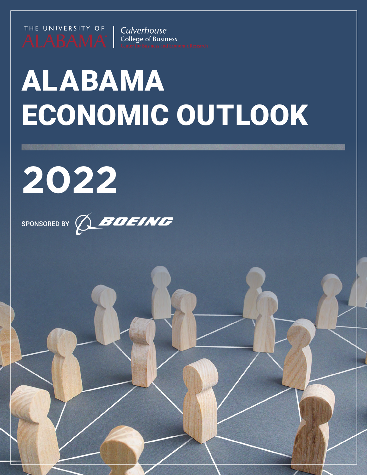

Culverhouse **College of Business** 

# ALABAMA ECONOMIC OUTLOOK

Alabama Economic Outlook 2022 1



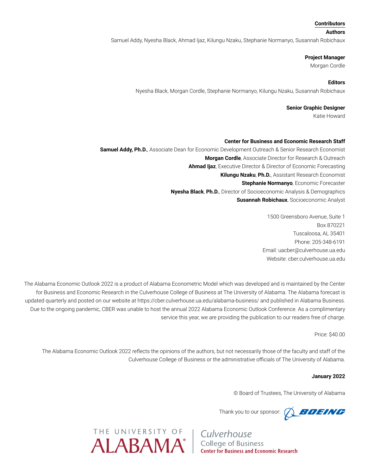#### **Contributors**

#### **Authors**

Samuel Addy, Nyesha Black, Ahmad Ijaz, Kilungu Nzaku, Stephanie Normanyo, Susannah Robichaux

#### **Project Manager**

Morgan Cordle

# **Editors**

Nyesha Black, Morgan Cordle, Stephanie Normanyo, Kilungu Nzaku, Susannah Robichaux

# **Senior Graphic Designer**

Katie Howard

# **Center for Business and Economic Research Staff**

**Samuel Addy, Ph.D.**, Associate Dean for Economic Development Outreach & Senior Research Economist **Morgan Cordle**, Associate Director for Research & Outreach **Ahmad Ijaz**, Executive Director & Director of Economic Forecasting **Kilungu Nzaku**, **Ph.D.**, Assistant Research Economist **Stephanie Normanyo**, Economic Forecaster **Nyesha Black**, **Ph.D.**, Director of Socioeconomic Analysis & Demographics **Susannah Robichaux**, Socioeconomic Analyst

> 1500 Greensboro Avenue, Suite 1 Box 870221 Tuscaloosa, AL 35401 Phone: 205-348-6191 Email: uacber@culverhouse.ua.edu Website: cber.culverhouse.ua.edu

The Alabama Economic Outlook 2022 is a product of Alabama Econometric Model which was developed and is maintained by the Center for Business and Economic Research in the Culverhouse College of Business at The University of Alabama. The Alabama forecast is updated quarterly and posted on our website at https://cber.culverhouse.ua.edu/alabama-business/ and published in Alabama Business. Due to the ongoing pandemic, CBER was unable to host the annual 2022 Alabama Economic Outlook Conference. As a complimentary service this year, we are providing the publication to our readers free of charge.

Price: \$40.00

The Alabama Economic Outlook 2022 reflects the opinions of the authors, but not necessarily those of the faculty and staff of the Culverhouse College of Business or the administrative officials of The University of Alabama.

# **January 2022**

© Board of Trustees, The University of Alabama

Thank you to our sponsor:  $\bigotimes$  **BOEING**